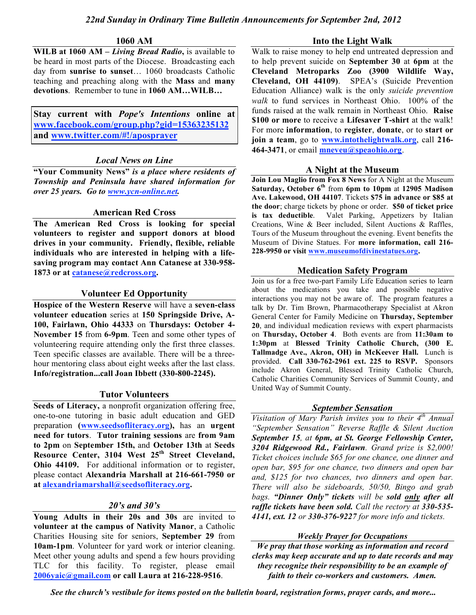### **1060 AM**

**WILB at 1060 AM –** *Living Bread Radio***,** is available to be heard in most parts of the Diocese. Broadcasting each day from **sunrise to sunset**… 1060 broadcasts Catholic teaching and preaching along with the **Mass** and **many devotions**. Remember to tune in **1060 AM…WILB…**

**Stay current with** *Pope's Intentions* **online at www.facebook.com/group.php?gid=15363235132 and www.twitter.com/#!/aposprayer**

## *Local News on Line*

**"Your Community News"** *is a place where residents of Township and Peninsula have shared information for over 25 years. Go to www.ycn-online.net.*

## **American Red Cross**

**The American Red Cross is looking for special volunteers to register and support donors at blood drives in your community. Friendly, flexible, reliable individuals who are interested in helping with a lifesaving program may contact Ann Catanese at 330-958- 1873 or at catanese@redcross.org.**

## **Volunteer Ed Opportunity**

**Hospice of the Western Reserve** will have a **seven-class volunteer education** series at **150 Springside Drive, A-100, Fairlawn, Ohio 44333** on **Thursdays: October 4- November 15** from **6-9pm**. Teen and some other types of volunteering require attending only the first three classes. Teen specific classes are available. There will be a threehour mentoring class about eight weeks after the last class. **Info/registration...call Joan Ibbett (330-800-2245).**

### **Tutor Volunteers**

**Seeds of Literacy,** a nonprofit organization offering free, one-to-one tutoring in basic adult education and GED preparation **(www.seedsofliteracy.org),** has an **urgent need for tutors**. **Tutor training sessions** are **from 9am to 2pm** on **September 15th,** and **October 13th** at **Seeds Resource Center, 3104 West 25th Street Cleveland, Ohio 44109.** For additional information or to register, please contact **Alexandria Marshall at 216-661-7950 or at alexandriamarshall@seedsofliteracy.org.**

# *20's and 30's*

**Young Adults in their 20s and 30s** are invited to **volunteer at the campus of Nativity Manor**, a Catholic Charities Housing site for seniors, **September 29** from **10am-1pm**. Volunteer for yard work or interior cleaning. Meet other young adults and spend a few hours providing TLC for this facility. To register, please email **2006yaic@gmail.com or call Laura at 216-228-9516**.

### **Into the Light Walk**

Walk to raise money to help end untreated depression and to help prevent suicide on **September 30** at **6pm** at the **Cleveland Metroparks Zoo (3900 Wildlife Way, Cleveland, OH 44109)**. SPEA's (Suicide Prevention Education Alliance) walk is the only *suicide prevention walk* to fund services in Northeast Ohio. 100% of the funds raised at the walk remain in Northeast Ohio. **Raise \$100 or more** to receive a **Lifesaver T-shirt** at the walk! For more **information**, to **register**, **donate**, or to **start or join a team**, go to **www.intothelightwalk.org**, call **216- 464-3471**, or email **mneveu@speaohio.org**.

## **A Night at the Museum**

**Join Lou Maglio from Fox 8 News** for A Night at the Museum **Saturday, October 6th** from **6pm to 10pm** at **12905 Madison Ave. Lakewood, OH 44107**. Tickets **\$75 in advance or \$85 at the door**; charge tickets by phone or order. **\$50 of ticket price is tax deductible**. Valet Parking, Appetizers by Italian Creations, Wine & Beer included, Silent Auctions & Raffles, Tours of the Museum throughout the evening. Event benefits the Museum of Divine Statues. For **more information, call 216- 228-9950 or visit www.museumofdivinestatues.org.**

# **Medication Safety Program**

Join us for a free two-part Family Life Education series to learn about the medications you take and possible negative interactions you may not be aware of. The program features a talk by Dr. Tim Brown, Pharmacotherapy Specialist at Akron General Center for Family Medicine on **Thursday, September 20**, and individual medication reviews with expert pharmacists on **Thursday, October 4**. Both events are from **11:30am to 1:30pm** at **Blessed Trinity Catholic Church, (300 E. Tallmadge Ave., Akron, OH) in McKeever Hall.** Lunch is provided. **Call 330-762-2961 ext. 225 to RSVP.** Sponsors include Akron General, Blessed Trinity Catholic Church, Catholic Charities Community Services of Summit County, and United Way of Summit County.

### *September Sensation*

*Visitation of Mary Parish invites you to their 4th Annual "September Sensation" Reverse Raffle & Silent Auction September 15, at 6pm, at St. George Fellowship Center, 3204 Ridgewood Rd., Fairlawn. Grand prize is \$2,000! Ticket choices include \$65 for one chance, one dinner and open bar, \$95 for one chance, two dinners and open bar and, \$125 for two chances, two dinners and open bar. There will also be sideboards, 50/50, Bingo and grab bags. "Dinner Only" tickets will be sold only after all raffle tickets have been sold. Call the rectory at 330-535- 4141, ext. 12 or 330-376-9227 for more info and tickets.*

### *Weekly Prayer for Occupations*

*We pray that those working as information and record clerks may keep accurate and up to date records and may they recognize their responsibility to be an example of faith to their co-workers and customers. Amen.*

*See the church's vestibule for items posted on the bulletin board, registration forms, prayer cards, and more...*